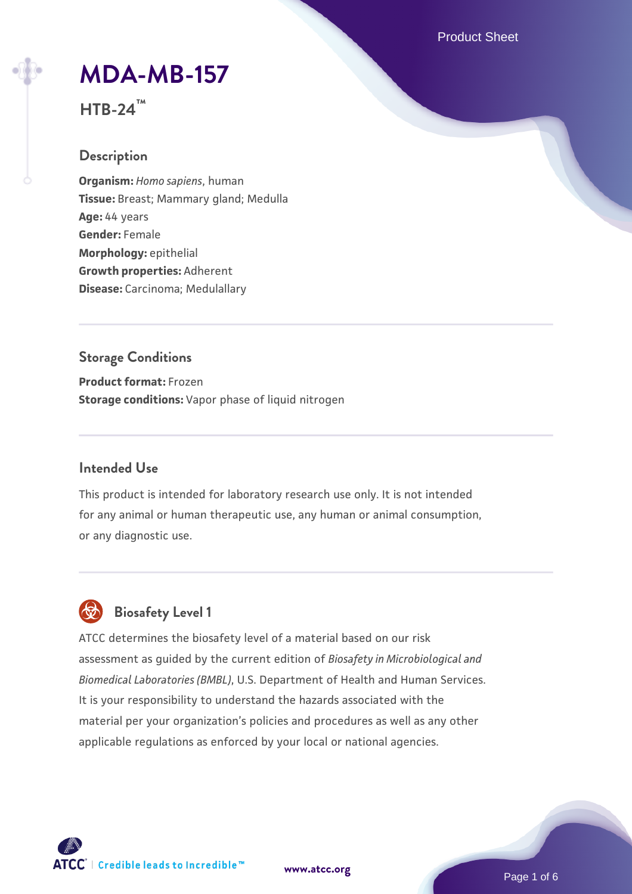Product Sheet

# **[MDA-MB-157](https://www.atcc.org/products/htb-24)**

**HTB-24™**

## **Description**

**Organism:** *Homo sapiens*, human **Tissue:** Breast; Mammary gland; Medulla **Age:** 44 years **Gender:** Female **Morphology:** epithelial **Growth properties:** Adherent **Disease:** Carcinoma; Medulallary

## **Storage Conditions**

**Product format:** Frozen **Storage conditions:** Vapor phase of liquid nitrogen

## **Intended Use**

This product is intended for laboratory research use only. It is not intended for any animal or human therapeutic use, any human or animal consumption, or any diagnostic use.

## **Biosafety Level 1**

ATCC determines the biosafety level of a material based on our risk assessment as guided by the current edition of *Biosafety in Microbiological and Biomedical Laboratories (BMBL)*, U.S. Department of Health and Human Services. It is your responsibility to understand the hazards associated with the material per your organization's policies and procedures as well as any other applicable regulations as enforced by your local or national agencies.

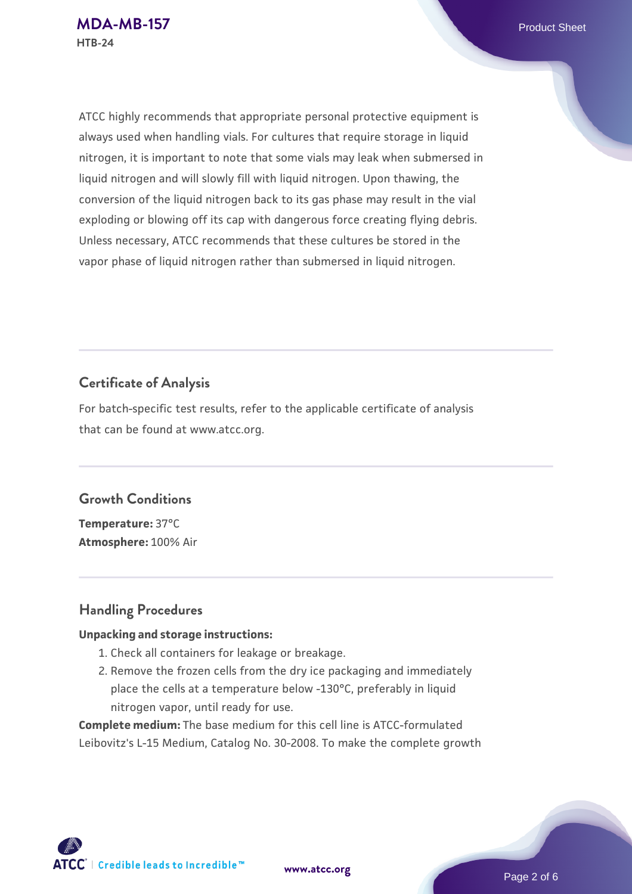ATCC highly recommends that appropriate personal protective equipment is always used when handling vials. For cultures that require storage in liquid nitrogen, it is important to note that some vials may leak when submersed in liquid nitrogen and will slowly fill with liquid nitrogen. Upon thawing, the conversion of the liquid nitrogen back to its gas phase may result in the vial exploding or blowing off its cap with dangerous force creating flying debris. Unless necessary, ATCC recommends that these cultures be stored in the vapor phase of liquid nitrogen rather than submersed in liquid nitrogen.

## **Certificate of Analysis**

For batch-specific test results, refer to the applicable certificate of analysis that can be found at www.atcc.org.

### **Growth Conditions**

**Temperature:** 37°C **Atmosphere:** 100% Air

## **Handling Procedures**

#### **Unpacking and storage instructions:**

- 1. Check all containers for leakage or breakage.
- 2. Remove the frozen cells from the dry ice packaging and immediately place the cells at a temperature below -130°C, preferably in liquid nitrogen vapor, until ready for use.

**Complete medium:** The base medium for this cell line is ATCC-formulated Leibovitz's L-15 Medium, Catalog No. 30-2008. To make the complete growth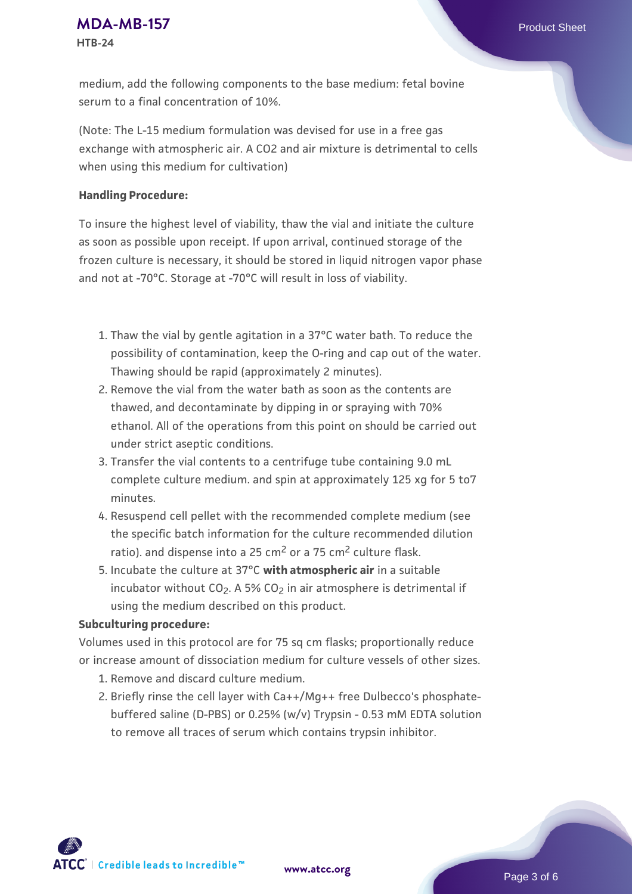medium, add the following components to the base medium: fetal bovine serum to a final concentration of 10%.

(Note: The L-15 medium formulation was devised for use in a free gas exchange with atmospheric air. A CO2 and air mixture is detrimental to cells when using this medium for cultivation)

#### **Handling Procedure:**

To insure the highest level of viability, thaw the vial and initiate the culture as soon as possible upon receipt. If upon arrival, continued storage of the frozen culture is necessary, it should be stored in liquid nitrogen vapor phase and not at -70°C. Storage at -70°C will result in loss of viability.

- 1. Thaw the vial by gentle agitation in a 37°C water bath. To reduce the possibility of contamination, keep the O-ring and cap out of the water. Thawing should be rapid (approximately 2 minutes).
- 2. Remove the vial from the water bath as soon as the contents are thawed, and decontaminate by dipping in or spraying with 70% ethanol. All of the operations from this point on should be carried out under strict aseptic conditions.
- 3. Transfer the vial contents to a centrifuge tube containing 9.0 mL complete culture medium. and spin at approximately 125 xg for 5 to7 minutes.
- 4. Resuspend cell pellet with the recommended complete medium (see the specific batch information for the culture recommended dilution ratio). and dispense into a 25 cm<sup>2</sup> or a 75 cm<sup>2</sup> culture flask.
- 5. Incubate the culture at 37°C **with atmospheric air** in a suitable incubator without  $CO<sub>2</sub>$ . A 5%  $CO<sub>2</sub>$  in air atmosphere is detrimental if using the medium described on this product.

#### **Subculturing procedure:**

Volumes used in this protocol are for 75 sq cm flasks; proportionally reduce or increase amount of dissociation medium for culture vessels of other sizes.

- 1. Remove and discard culture medium.
- 2. Briefly rinse the cell layer with Ca++/Mg++ free Dulbecco's phosphatebuffered saline (D-PBS) or 0.25% (w/v) Trypsin - 0.53 mM EDTA solution to remove all traces of serum which contains trypsin inhibitor.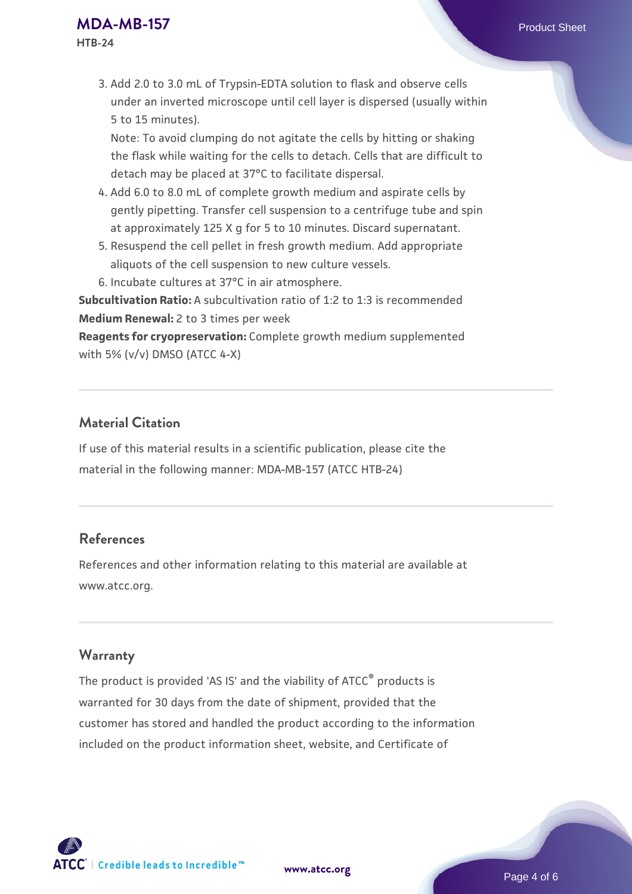## **[MDA-MB-157](https://www.atcc.org/products/htb-24)** Product Sheet

**HTB-24**

3. Add 2.0 to 3.0 mL of Trypsin-EDTA solution to flask and observe cells under an inverted microscope until cell layer is dispersed (usually within 5 to 15 minutes).

Note: To avoid clumping do not agitate the cells by hitting or shaking the flask while waiting for the cells to detach. Cells that are difficult to detach may be placed at 37°C to facilitate dispersal.

- Add 6.0 to 8.0 mL of complete growth medium and aspirate cells by 4. gently pipetting. Transfer cell suspension to a centrifuge tube and spin at approximately 125 X g for 5 to 10 minutes. Discard supernatant.
- 5. Resuspend the cell pellet in fresh growth medium. Add appropriate aliquots of the cell suspension to new culture vessels.
- 6. Incubate cultures at 37°C in air atmosphere.

**Subcultivation Ratio:** A subcultivation ratio of 1:2 to 1:3 is recommended **Medium Renewal:** 2 to 3 times per week

**Reagents for cryopreservation:** Complete growth medium supplemented with 5% (v/v) DMSO (ATCC 4-X)

## **Material Citation**

If use of this material results in a scientific publication, please cite the material in the following manner: MDA-MB-157 (ATCC HTB-24)

## **References**

References and other information relating to this material are available at www.atcc.org.

## **Warranty**

The product is provided 'AS IS' and the viability of ATCC® products is warranted for 30 days from the date of shipment, provided that the customer has stored and handled the product according to the information included on the product information sheet, website, and Certificate of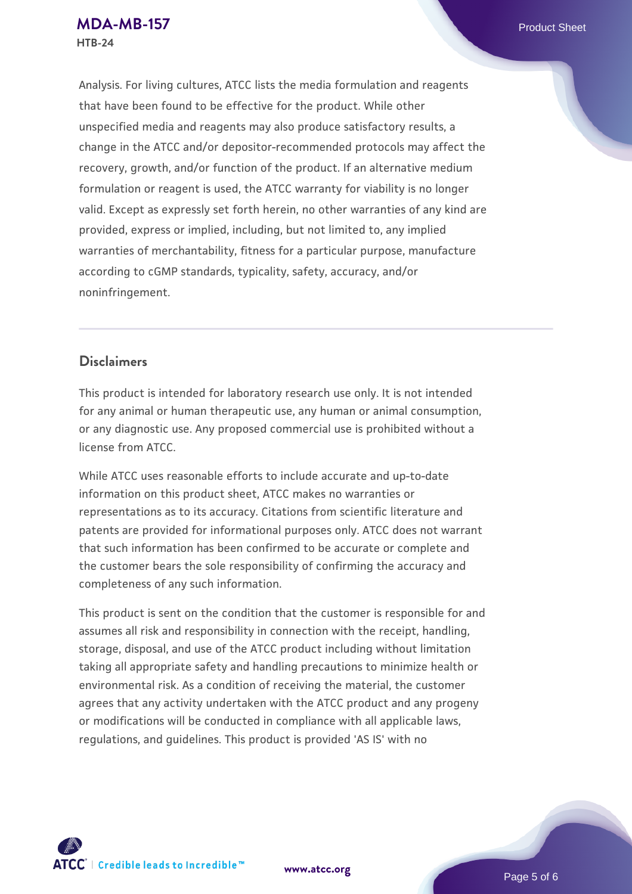Analysis. For living cultures, ATCC lists the media formulation and reagents that have been found to be effective for the product. While other unspecified media and reagents may also produce satisfactory results, a change in the ATCC and/or depositor-recommended protocols may affect the recovery, growth, and/or function of the product. If an alternative medium formulation or reagent is used, the ATCC warranty for viability is no longer valid. Except as expressly set forth herein, no other warranties of any kind are provided, express or implied, including, but not limited to, any implied warranties of merchantability, fitness for a particular purpose, manufacture according to cGMP standards, typicality, safety, accuracy, and/or noninfringement.

## **Disclaimers**

This product is intended for laboratory research use only. It is not intended for any animal or human therapeutic use, any human or animal consumption, or any diagnostic use. Any proposed commercial use is prohibited without a license from ATCC.

While ATCC uses reasonable efforts to include accurate and up-to-date information on this product sheet, ATCC makes no warranties or representations as to its accuracy. Citations from scientific literature and patents are provided for informational purposes only. ATCC does not warrant that such information has been confirmed to be accurate or complete and the customer bears the sole responsibility of confirming the accuracy and completeness of any such information.

This product is sent on the condition that the customer is responsible for and assumes all risk and responsibility in connection with the receipt, handling, storage, disposal, and use of the ATCC product including without limitation taking all appropriate safety and handling precautions to minimize health or environmental risk. As a condition of receiving the material, the customer agrees that any activity undertaken with the ATCC product and any progeny or modifications will be conducted in compliance with all applicable laws, regulations, and guidelines. This product is provided 'AS IS' with no



**[www.atcc.org](http://www.atcc.org)**

Page 5 of 6